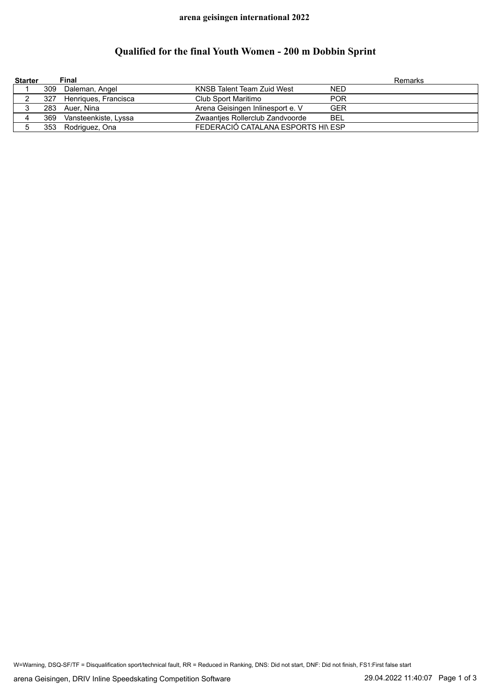## **Qualified for the final Youth Women - 200 m Dobbin Sprint**

| <b>Starter</b> |     | Final                |                                    |            | Remarks |
|----------------|-----|----------------------|------------------------------------|------------|---------|
|                | 309 | Daleman, Angel       | KNSB Talent Team Zuid West         | <b>NED</b> |         |
|                | 327 | Henriques, Francisca | Club Sport Maritimo                | <b>POR</b> |         |
| J              | 283 | Auer. Nina           | Arena Geisingen Inlinesport e. V   | <b>GER</b> |         |
| 4              | 369 | Vansteenkiste, Lyssa | Zwaanties Rollerclub Zandvoorde    | BEL        |         |
|                | 353 | Rodriguez, Ona       | FEDERACIÓ CATALANA ESPORTS HI\ ESP |            |         |

W=Warning, DSQ-SF/TF = Disqualification sport/technical fault, RR = Reduced in Ranking, DNS: Did not start, DNF: Did not finish, FS1:First false start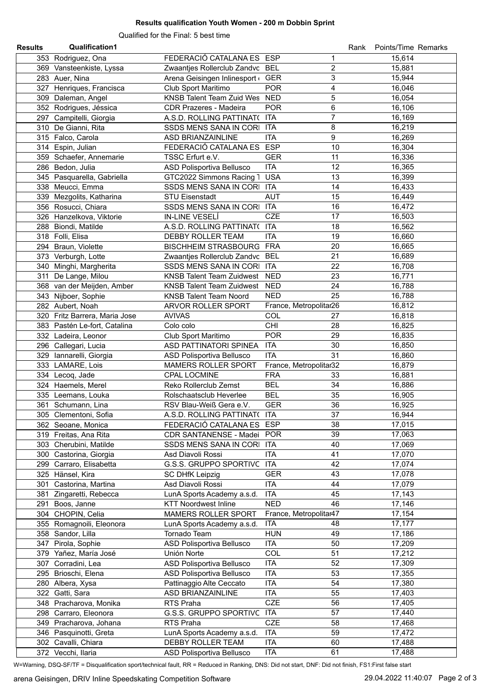## **Results qualification Youth Women - 200 m Dobbin Sprint**

Qualified for the Final: 5 best time

| <b>Results</b> | <b>Qualification1</b>         |                                  |                              | Rank | Points/Time Remarks |  |
|----------------|-------------------------------|----------------------------------|------------------------------|------|---------------------|--|
|                | 353 Rodriguez, Ona            | FEDERACIÓ CATALANA ES            | <b>ESP</b><br>1              |      | 15,614              |  |
|                | 369 Vansteenkiste, Lyssa      | Zwaantjes Rollerclub Zandvc BEL  | $\overline{c}$               |      | 15,881              |  |
|                | 283 Auer, Nina                | Arena Geisingen Inlinesport      | 3<br><b>GER</b>              |      | 15,944              |  |
|                | 327 Henriques, Francisca      | Club Sport Maritimo              | <b>POR</b><br>4              |      | 16,046              |  |
|                | 309 Daleman, Angel            | KNSB Talent Team Zuid Wes NED    | 5                            |      | 16,054              |  |
|                | 352 Rodrigues, Jéssica        | <b>CDR Prazeres - Madeira</b>    | 6<br><b>POR</b>              |      | 16,106              |  |
|                | 297 Campitelli, Giorgia       | A.S.D. ROLLING PATTINAT(         | $\overline{7}$<br><b>ITA</b> |      | 16,169              |  |
|                | 310 De Gianni, Rita           | SSDS MENS SANA IN CORI           | 8<br><b>ITA</b>              |      | 16,219              |  |
|                | 315 Falco, Carola             | ASD BRIANZAINLINE                | 9<br><b>ITA</b>              |      | 16,269              |  |
|                | 314 Espin, Julian             | FEDERACIÓ CATALANA ES            | <b>ESP</b><br>10             |      | 16,304              |  |
|                | 359 Schaefer, Annemarie       | TSSC Erfurt e.V.                 | 11<br><b>GER</b>             |      | 16,336              |  |
|                | 286 Bedon, Julia              | ASD Polisportiva Bellusco        | <b>ITA</b><br>12             |      | 16,365              |  |
|                | 345 Pasquarella, Gabriella    | GTC2022 Simmons Racing 1         | 13<br><b>USA</b>             |      | 16,399              |  |
|                | 338 Meucci, Emma              | SSDS MENS SANA IN CORI           | 14<br><b>ITA</b>             |      | 16,433              |  |
|                | 339 Mezgolits, Katharina      | <b>STU Eisenstadt</b>            | <b>AUT</b><br>15             |      | 16,449              |  |
|                | 356 Rosucci, Chiara           | SSDS MENS SANA IN CORI           | <b>ITA</b><br>16             |      | 16,472              |  |
|                |                               | IN-LINE VESELÍ                   | <b>CZE</b><br>17             |      |                     |  |
|                | 326 Hanzelkova, Viktorie      |                                  |                              |      | 16,503              |  |
|                | 288 Biondi, Matilde           | A.S.D. ROLLING PATTINAT(         | <b>ITA</b><br>18             |      | 16,562              |  |
|                | 318 Folli, Elisa              | DEBBY ROLLER TEAM                | <b>ITA</b><br>19             |      | 16,660              |  |
|                | 294 Braun, Violette           | BISCHHEIM STRASBOURG FRA         | 20                           |      | 16,665              |  |
|                | 373 Verburgh, Lotte           | Zwaantjes Rollerclub Zandvc BEL  | 21                           |      | 16,689              |  |
|                | 340 Minghi, Margherita        | SSDS MENS SANA IN CORI           | <b>ITA</b><br>22             |      | 16,708              |  |
| 311            | De Lange, Milou               | <b>KNSB Talent Team Zuidwest</b> | 23<br><b>NED</b>             |      | 16,771              |  |
|                | 368 van der Meijden, Amber    | <b>KNSB Talent Team Zuidwest</b> | 24<br><b>NED</b>             |      | 16,788              |  |
|                | 343 Nijboer, Sophie           | <b>KNSB Talent Team Noord</b>    | <b>NED</b><br>25             |      | 16,788              |  |
|                | 282 Aubert, Noah              | ARVOR ROLLER SPORT               | France, Metropolitar26       |      | 16,812              |  |
|                | 320 Fritz Barrera, Maria Jose | <b>AVIVAS</b>                    | COL<br>27                    |      | 16,818              |  |
|                | 383 Pastén Le-fort, Catalina  | Colo colo                        | <b>CHI</b><br>28             |      | 16,825              |  |
|                | 332 Ladeira, Leonor           | Club Sport Maritimo              | <b>POR</b><br>29             |      | 16,835              |  |
|                | 296 Callegari, Lucia          | ASD PATTINATORI SPINEA           | <b>ITA</b><br>30             |      | 16,850              |  |
|                | 329 Iannarelli, Giorgia       | ASD Polisportiva Bellusco        | 31<br><b>ITA</b>             |      | 16,860              |  |
|                | 333 LAMARE, Lois              | <b>MAMERS ROLLER SPORT</b>       | France, Metropolitar32       |      | 16,879              |  |
|                | 334 Lecoq, Jade               | <b>CPAL LOCMINE</b>              | <b>FRA</b><br>33             |      | 16,881              |  |
|                | 324 Haemels, Merel            | Reko Rollerclub Zemst            | <b>BEL</b><br>34             |      | 16,886              |  |
|                | 335 Leemans, Louka            | Rolschaatsclub Heverlee          | <b>BEL</b><br>35             |      | 16,905              |  |
|                | 361 Schumann, Lina            | RSV Blau-Weiß Gera e.V.          | <b>GER</b><br>36             |      | 16,925              |  |
|                | 305 Clementoni, Sofia         | A.S.D. ROLLING PATTINAT( ITA     | 37                           |      | 16,944              |  |
|                | 362 Seoane, Monica            | FEDERACIÓ CATALANA ES ESP        | 38                           |      | 17,015              |  |
|                | 319 Freitas, Ana Rita         | CDR SANTANENSE - Madei POR       | 39                           |      | 17,063              |  |
|                | 303 Cherubini, Matilde        | SSDS MENS SANA IN CORI ITA       | 40                           |      | 17,069              |  |
|                | 300 Castorina, Giorgia        | Asd Diavoli Rossi                | <b>ITA</b><br>41             |      | 17,070              |  |
|                | 299 Carraro, Elisabetta       | G.S.S. GRUPPO SPORTIVC ITA       | 42                           |      | 17,074              |  |
|                | 325 Hänsel, Kira              | <b>SC DHfK Leipzig</b>           | <b>GER</b><br>43             |      | 17,078              |  |
|                | 301 Castorina, Martina        | Asd Diavoli Rossi                | <b>ITA</b><br>44             |      | 17,079              |  |
|                | 381 Zingaretti, Rebecca       | LunA Sports Academy a.s.d.       | <b>ITA</b><br>45             |      | 17,143              |  |
|                | 291 Boos, Janne               | <b>KTT Noordwest Inline</b>      | <b>NED</b><br>46             |      | 17,146              |  |
|                | 304 CHOPIN, Celia             | MAMERS ROLLER SPORT              | France, Metropolitar47       |      | 17,154              |  |
|                | 355 Romagnoili, Eleonora      | LunA Sports Academy a.s.d.       | <b>ITA</b><br>48             |      | 17,177              |  |
|                | 358 Sandor, Lilla             | Tornado Team                     | <b>HUN</b><br>49             |      | 17,186              |  |
|                | 347 Pirola, Sophie            | ASD Polisportiva Bellusco        | <b>ITA</b><br>50             |      | 17,209              |  |
|                | 379 Yañez, María José         | Unión Norte                      | <b>COL</b><br>51             |      | 17,212              |  |
|                |                               |                                  | <b>ITA</b><br>52             |      |                     |  |
|                | 307 Corradini, Lea            | <b>ASD Polisportiva Bellusco</b> | <b>ITA</b><br>53             |      | 17,309<br>17,355    |  |
|                | 295 Brioschi, Elena           | ASD Polisportiva Bellusco        | 54                           |      |                     |  |
|                | 280 Albera, Xysa              | Pattinaggio Alte Ceccato         | <b>ITA</b>                   |      | 17,380              |  |
|                | 322 Gatti, Sara               | ASD BRIANZAINLINE                | <b>ITA</b><br>55             |      | 17,403              |  |
|                | 348 Pracharova, Monika        | RTS Praha                        | <b>CZE</b><br>56             |      | 17,405              |  |
|                | 298 Carraro, Eleonora         | G.S.S. GRUPPO SPORTIVC ITA       | 57                           |      | 17,440              |  |
|                | 349 Pracharova, Johana        | RTS Praha                        | <b>CZE</b><br>58             |      | 17,468              |  |
|                | 346 Pasquinotti, Greta        | LunA Sports Academy a.s.d.       | <b>ITA</b><br>59             |      | 17,472              |  |
|                | 302 Cavalli, Chiara           | DEBBY ROLLER TEAM                | <b>ITA</b><br>60             |      | 17,488              |  |
|                | 372 Vecchi, llaria            | ASD Polisportiva Bellusco        | <b>ITA</b><br>61             |      | 17,488              |  |

W=Warning, DSQ-SF/TF = Disqualification sport/technical fault, RR = Reduced in Ranking, DNS: Did not start, DNF: Did not finish, FS1:First false start